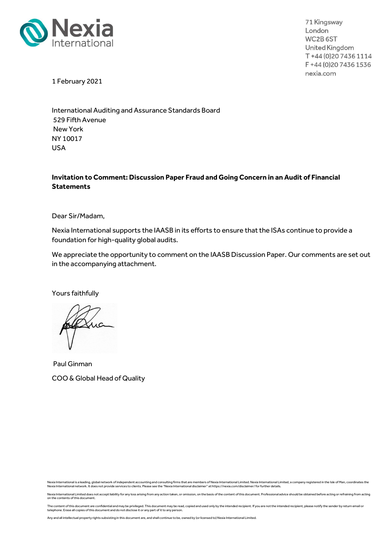

71 Kingsway London WC2B<sub>6ST</sub> United Kingdom T+44(0)2074361114 F +44 (0) 20 7436 1536 nexia.com

1 February 2021

International Auditing and Assurance Standards Board 529 Fifth Avenue New York NY 10017 USA

## Invitation to Comment: Discussion Paper Fraud and Going Concern in an Audit of Financial **Statements**

Dear Sir/Madam,

Nexia International supports the IAASB in its efforts to ensure that the ISAs continue to provide a foundation for high-quality global audits.

We appreciate the opportunity to comment on the IAASB Discussion Paper. Our comments are set out in the accompanying attachment.

Yours faithfully

ua

 Paul Ginman COO & Global Head of Quality

Nexia International is a leading, global network of independent accounting and consulting firms that are members of Nexia International Limited. Nexia International Limited, a company registered in the Isle of Man, coordin

Nexia International Limited does not accept liability for any loss arising from any action taken, or omission, on the basis of the content of this document. Professional advice should be obtained before acting or refrainin

The content of this document are confidential and may be privileged. This document may be read, copied and used only by the intended recipient. If you are not the intended recipient, please notify the sender by return emai

Any and all intellectual property rights subsisting in this document are, and shall continue to be, owned by (or licensed to) Nexia International Limited.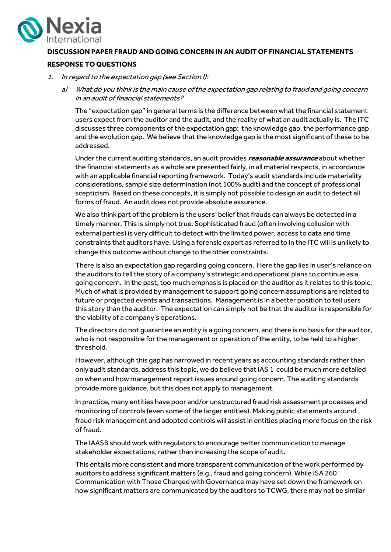

## DISCUSSION PAPER FRAUD AND GOING CONCERN IN AN AUDIT OF FINANCIAL STATEMENTS

## RESPONSE TO QUESTIONS

- 1. In regard to the expectation gap (see Section I):
	- a) What do you think is the main cause of the expectation gap relating to fraud and going concern in an audit of financial statements?

The "expectation gap" in general terms is the difference between what the financial statement users expect from the auditor and the audit, and the reality of what an audit actually is. The ITC discusses three components of the expectation gap: the knowledge gap, the performance gap and the evolution gap. We believe that the knowledge gap is the most significant of these to be addressed.

Under the current auditing standards, an audit provides reasonable assurance about whether the financial statements as a whole are presented fairly, in all material respects, in accordance with an applicable financial reporting framework. Today's audit standards include materiality considerations, sample size determination (not 100% audit) and the concept of professional scepticism. Based on these concepts, it is simply not possible to design an audit to detect all forms of fraud. An audit does not provide absolute assurance.

We also think part of the problem is the users' belief that frauds can always be detected in a timely manner. This is simply not true. Sophisticated fraud (often involving collusion with external parties) is very difficult to detect with the limited power, access to data and time constraints that auditors have. Using a forensic expert as referred to in the ITC will is unlikely to change this outcome without change to the other constraints.

There is also an expectation gap regarding going concern. Here the gap lies in user's reliance on the auditors to tell the story of a company's strategic and operational plans to continue as a going concern. In the past, too much emphasis is placed on the auditor as it relates to this topic. Much of what is provided by management to support going concern assumptions are related to future or projected events and transactions. Management is in a better position to tell users this story than the auditor. The expectation can simply not be that the auditor is responsible for the viability of a company's operations.

The directors do not guarantee an entity is a going concern, and there is no basis for the auditor, who is not responsible for the management or operation of the entity, to be held to a higher threshold.

However, although this gap has narrowed in recent years as accounting standards rather than only audit standards, address this topic, we do believe that IAS 1 could be much more detailed on when and how management report issues around going concern. The auditing standards provide more guidance, but this does not apply to management.

In practice, many entities have poor and/or unstructured fraud risk assessment processes and monitoring of controls (even some of the larger entities). Making public statements around fraud risk management and adopted controls will assist in entities placing more focus on the risk of fraud.

The IAASB should work with regulators to encourage better communication to manage stakeholder expectations, rather than increasing the scope of audit.

This entails more consistent and more transparent communication of the work performed by auditors to address significant matters (e.g., fraud and going concern). While ISA 260 Communication with Those Charged with Governance may have set down the framework on how significant matters are communicated by the auditors to TCWG, there may not be similar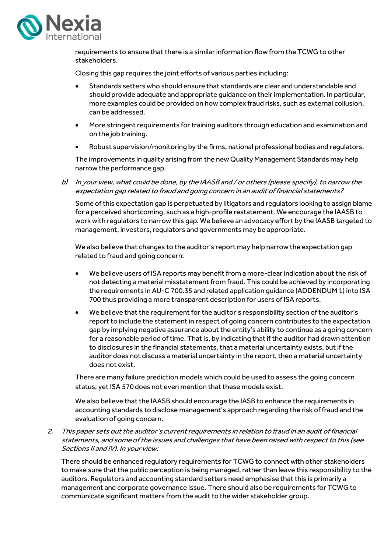

requirements to ensure that there is a similar information flow from the TCWG to other stakeholders.

Closing this gap requires the joint efforts of various parties including:

- Standards setters who should ensure that standards are clear and understandable and should provide adequate and appropriate guidance on their implementation. In particular, more examples could be provided on how complex fraud risks, such as external collusion, can be addressed.
- More stringent requirements for training auditors through education and examination and on the job training.
- Robust supervision/monitoring by the firms, national professional bodies and regulators.

The improvements in quality arising from the new Quality Management Standards may help narrow the performance gap.

b) In your view, what could be done, by the IAASB and / or others (please specify), to narrow the expectation gap related to fraud and going concern in an audit of financial statements?

Some of this expectation gap is perpetuated by litigators and regulators looking to assign blame for a perceived shortcoming, such as a high-profile restatement. We encourage the IAASB to work with regulators to narrow this gap. We believe an advocacy effort by the IAASB targeted to management, investors, regulators and governments may be appropriate.

We also believe that changes to the auditor's report may help narrow the expectation gap related to fraud and going concern:

- We believe users of ISA reports may benefit from a more-clear indication about the risk of not detecting a material misstatement from fraud. This could be achieved by incorporating the requirements in AU-C 700.35 and related application guidance (ADDENDUM 1) into ISA 700 thus providing a more transparent description for users of ISA reports.
- We believe that the requirement for the auditor's responsibility section of the auditor's report to include the statement in respect of going concern contributes to the expectation gap by implying negative assurance about the entity's ability to continue as a going concern for a reasonable period of time. That is, by indicating that if the auditor had drawn attention to disclosures in the financial statements, that a material uncertainty exists, but if the auditor does not discuss a material uncertainty in the report, then a material uncertainty does not exist.

There are many failure prediction models which could be used to assess the going concern status; yet ISA 570 does not even mention that these models exist.

We also believe that the IAASB should encourage the IASB to enhance the requirements in accounting standards to disclose management's approach regarding the risk of fraud and the evaluation of going concern.

2. This paper sets out the auditor's current requirements in relation to fraud in an audit of financial statements, and some of the issues and challenges that have been raised with respect to this (see Sections II and IV). In your view:

There should be enhanced regulatory requirements for TCWG to connect with other stakeholders to make sure that the public perception is being managed, rather than leave this responsibility to the auditors. Regulators and accounting standard setters need emphasise that this is primarily a management and corporate governance issue. There should also be requirements for TCWG to communicate significant matters from the audit to the wider stakeholder group.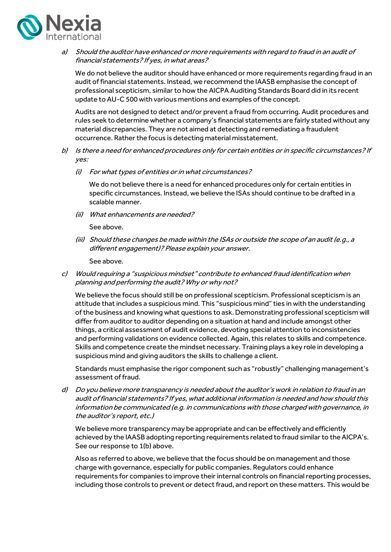

a) Should the auditor have enhanced or more requirements with regard to fraud in an audit of financial statements? If yes, in what areas?

We do not believe the auditor should have enhanced or more requirements regarding fraud in an audit of financial statements. Instead, we recommend the IAASB emphasise the concept of professional scepticism, similar to how the AICPA Auditing Standards Board did in its recent update to AU-C 500 with various mentions and examples of the concept.

Audits are not designed to detect and/or prevent a fraud from occurring. Audit procedures and rules seek to determine whether a company's financial statements are fairly stated without any material discrepancies. They are not aimed at detecting and remediating a fraudulent occurrence. Rather the focus is detecting material misstatement.

- b) Is there a need for enhanced procedures only for certain entities or in specific circumstances? If yes:
	- (i) For what types of entities or in what circumstances?

We do not believe there is a need for enhanced procedures only for certain entities in specific circumstances. Instead, we believe the ISAs should continue to be drafted in a scalable manner.

(ii) What enhancements are needed?

See above.

(iii) Should these changes be made within the ISAs or outside the scope of an audit (e.g., a different engagement)? Please explain your answer.

See above.

c) Would requiring a "suspicious mindset" contribute to enhanced fraud identification when planning and performing the audit? Why or why not?

We believe the focus should still be on professional scepticism. Professional scepticism is an attitude that includes a suspicious mind. This "suspicious mind" ties in with the understanding of the business and knowing what questions to ask. Demonstrating professional scepticism will differ from auditor to auditor depending on a situation at hand and include amongst other things, a critical assessment of audit evidence, devoting special attention to inconsistencies and performing validations on evidence collected. Again, this relates to skills and competence. Skills and competence create the mindset necessary. Training plays a key role in developing a suspicious mind and giving auditors the skills to challenge a client.

Standards must emphasise the rigor component such as "robustly" challenging management's assessment of fraud.

d) Do you believe more transparency is needed about the auditor's work in relation to fraud in an audit of financial statements? If yes, what additional information is needed and how should this information be communicated (e.g. in communications with those charged with governance, in the auditor's report, etc.)

We believe more transparency may be appropriate and can be effectively and efficiently achieved by the IAASB adopting reporting requirements related to fraud similar to the AICPA's. See our response to 1(b) above.

Also as referred to above, we believe that the focus should be on management and those charge with governance, especially for public companies. Regulators could enhance requirements for companies to improve their internal controls on financial reporting processes, including those controls to prevent or detect fraud, and report on these matters. This would be